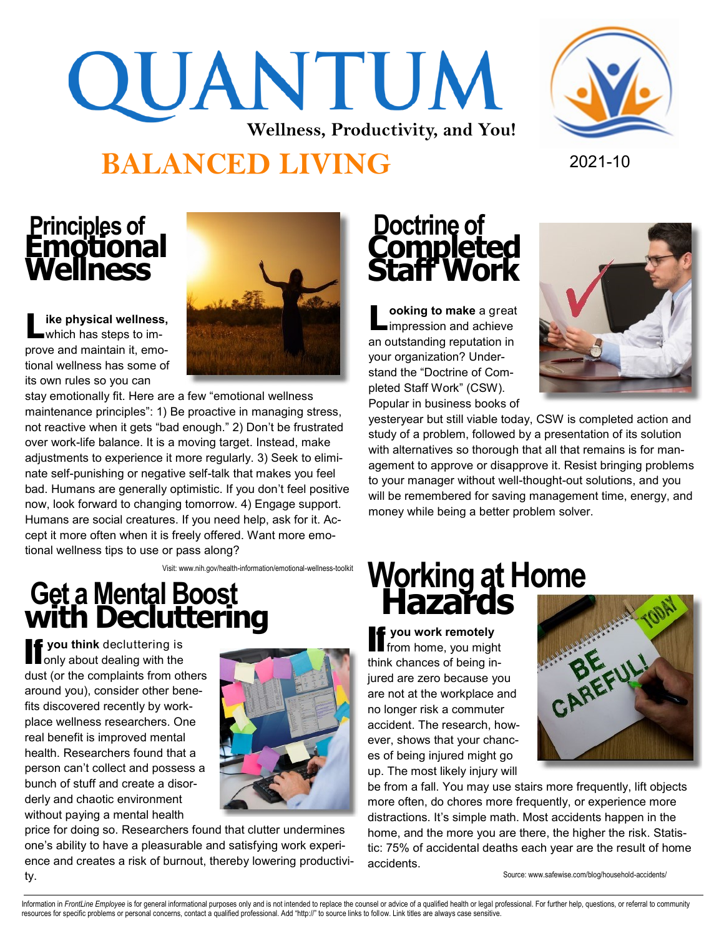### QUANTUM **Wellness, Productivity, and You! BALANCED LIVING** 2021-10



# **Principles of Emotional Wellness**

**L ike physical wellness,**  which has steps to improve and maintain it, emotional wellness has some of its own rules so you can



stay emotionally fit. Here are a few "emotional wellness maintenance principles": 1) Be proactive in managing stress, not reactive when it gets "bad enough." 2) Don't be frustrated over work-life balance. It is a moving target. Instead, make adjustments to experience it more regularly. 3) Seek to eliminate self-punishing or negative self-talk that makes you feel bad. Humans are generally optimistic. If you don't feel positive now, look forward to changing tomorrow. 4) Engage support. Humans are social creatures. If you need help, ask for it. Accept it more often when it is freely offered. Want more emotional wellness tips to use or pass along?

Visit: www.nih.gov/health-information/emotional-wellness-toolkit

### **Get a Mental Boost with Decluttering**

**If you think** decluttering is only about dealing with the dust (or the complaints from others around you), consider other benefits discovered recently by workplace wellness researchers. One real benefit is improved mental health. Researchers found that a person can't collect and possess a bunch of stuff and create a disorderly and chaotic environment without paying a mental health



price for doing so. Researchers found that clutter undermines one's ability to have a pleasurable and satisfying work experience and creates a risk of burnout, thereby lowering productivity.

# **Doctrine of Completed Staff Work**

**L** cooking to make a great<br>
impression and achieve **ooking to make** a great an outstanding reputation in your organization? Understand the "Doctrine of Completed Staff Work" (CSW). Popular in business books of



yesteryear but still viable today, CSW is completed action and study of a problem, followed by a presentation of its solution with alternatives so thorough that all that remains is for management to approve or disapprove it. Resist bringing problems to your manager without well-thought-out solutions, and you will be remembered for saving management time, energy, and money while being a better problem solver.

#### **Working at Home Hazards**

If **you work remotely**  from home, you might think chances of being injured are zero because you are not at the workplace and no longer risk a commuter accident. The research, however, shows that your chances of being injured might go up. The most likely injury will



be from a fall. You may use stairs more frequently, lift objects more often, do chores more frequently, or experience more distractions. It's simple math. Most accidents happen in the home, and the more you are there, the higher the risk. Statistic: 75% of accidental deaths each year are the result of home accidents.

Source: www.safewise.com/blog/household-accidents/

Information in FrontLine Employee is for general informational purposes only and is not intended to replace the counsel or advice of a qualified health or legal professional. For further help, questions, or referral to com resources for specific problems or personal concerns, contact a qualified professional. Add "http://" to source links to follow. Link titles are always case sensitive.